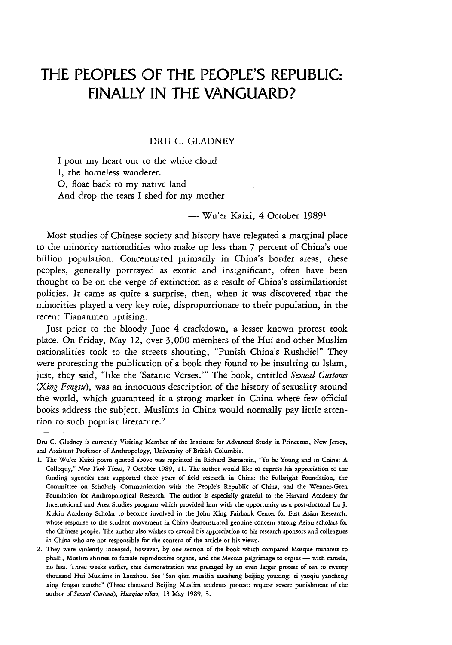# **THE PEOPLES OF THE PEOPLE'S REPUBLIC: FINALLY IN THE VANGUARD?**

### DRU C. GLADNEY

I pour my heart out to the white cloud I, the homeless wanderer. **0,** float back to my native land And drop the tears I shed for my mother

**-** Wu'er Kaixi, 4 October **19891**

Most studies of Chinese society and history have relegated a marginal place to the minority nationalities who make up less than 7 percent of China's one billion population. Concentrated primarily in China's border areas, these peoples, generally portrayed as exotic and insignificant, often have been thought to be on the verge of extinction as a result of China's assimilationist policies. It came as quite a surprise, then, when it was discovered that the minorities played a very key role, disproportionate to their population, in the recent Tiananmen uprising.

Just prior to the bloody June 4 crackdown, a lesser known protest took place. On Friday, May 12, over 3,000 members of the Hui and other Muslim nationalities took to the streets shouting, "Punish China's Rushdie!" They were protesting the publication of a book they found to be insulting to Islam, just, they said, "like the 'Satanic Verses."' The book, entitled *Sexual Custons (Xing Fengsu),* was an innocuous description of the history of sexuality around the world, which guaranteed it a strong market in China where few official books address the subject. Muslims in China would normally pay little attention to such popular literature.<sup>2</sup>

Dru C. Gladney is currently Visiting Member of the Institute for Advanced Study in Princeton, New Jersey, and Assistant Professor of Anthropology, University of British Columbia.

<sup>1.</sup> The Wu'er Kaixi poem quoted above was reprinted in Richard Bernstein, "To be Young and in China: A Colloquy," *New York Times,* 7 October **1989,** 11. The author would like to express his appreciation to the funding agencies that supported three years of field research in China: the Fulbright Foundation, the Committee on Scholarly Communication with the People's Republic of China, and the Wenner-Gren Foundation for Anthropological Research. The author is especially grateful to the Harvard Academy for International and Area Studies program which provided him with the opportunity as a post-doctoral Ira J. Kukin Academy Scholar to become involved in the John King Fairbank Center for East Asian Research, whose response to the student movement in China demonstrated genuine concern among Asian scholars for the Chinese people. The author also wishes to extend his appreciation to his research sponsors and colleagues in China who are not responsible for the content of the article or his views.

<sup>2.</sup> They were violently incensed, however, by one section of the book which compared Mosque minarets to phalli, Muslim shrines to female reproductive organs, and the Meccan pilgrimage to orgies - with camels, no less. Three weeks earlier, this demonstration was presaged by an even larger protest of ten to twenty thousand Hui Muslims in Lanzhou. See "San qian musilin xuesheng beijing youxing: ti yaoqiu yancheng xing fengsu zuozhe" (Three thousand Beijing Muslim students protest: request severe punishment of the author of *Sexual Customs), Huaqiao ribao,* 13 May **1989,** 3.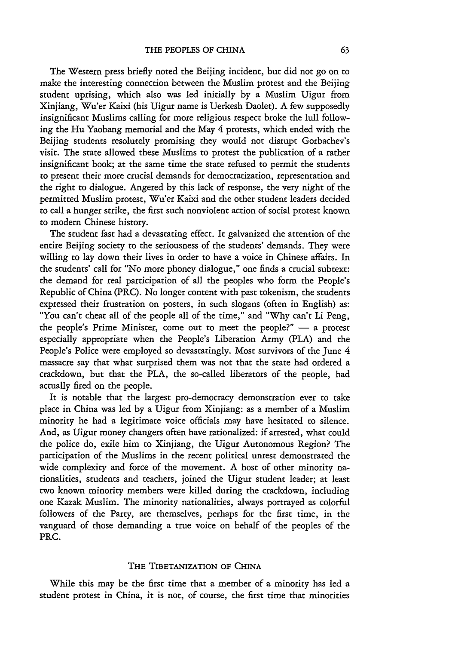The Western press briefly noted the Beijing incident, but did not go on to make the interesting connection between the Muslim protest and the Beijing student uprising, which also was led initially by a Muslim Uigur from Xinjiang, Wu'er Kaixi (his Uigur name is Uerkesh Daolet). A few supposedly insignificant Muslims calling for more religious respect broke the lull following the Hu Yaobang memorial and the May 4 protests, which ended with the Beijing students resolutely promising they would not disrupt Gorbachev's visit. The state allowed these Muslims to protest the publication of a rather insignificant book; at the same time the state refused to permit the students to present their more crucial demands for democratization, representation and the right to dialogue. Angered by this lack of response, the very night of the permitted Muslim protest, Wu'er Kaixi and the other student leaders decided to call a hunger strike, the first such nonviolent action of social protest known to modern Chinese history.

The student fast had a devastating effect. It galvanized the attention of the entire Beijing society to the seriousness of the students' demands. They were willing to lay down their lives in order to have a voice in Chinese affairs. In the students' call for "No more phoney dialogue," one finds a crucial subtext: the demand for real participation of all the peoples who form the People's Republic of China (PRC). No longer content with past tokenism, the students expressed their frustration on posters, in such slogans (often in English) as: "You can't cheat all of the people all of the time," and "Why can't Li Peng, the people's Prime Minister, come out to meet the people?"  $-$  a protest especially appropriate when the People's Liberation Army (PLA) and the People's Police were employed so devastatingly. Most survivors of the June 4 massacre say that what surprised them was not that the state had ordered a crackdown, but that the PLA, the so-called liberators of the people, had actually fired on the people.

It is notable that the largest pro-democracy demonstration ever to take place in China was led by a Uigur from Xinjiang: as a member of a Muslim minority he had a legitimate voice officials may have hesitated to silence. And, as Uigur money changers often have rationalized: if arrested, what could the police do, exile him to Xinjiang, the Uigur Autonomous Region? The participation of the Muslims in the recent political unrest demonstrated the wide complexity and force of the movement. A host of other minority nationalities, students and teachers, joined the Uigur student leader; at least two known minority members were killed during the crackdown, including one Kazak Muslim. The minority nationalities, always portrayed as colorful followers of the Party, are themselves, perhaps for the first time, in the vanguard of those demanding a true voice on behalf of the peoples of the PRC.

#### THE TIBETANIZATION OF CHINA

While this may be the first time that a member of a minority has led a student protest in China, it is not, of course, the first time that minorities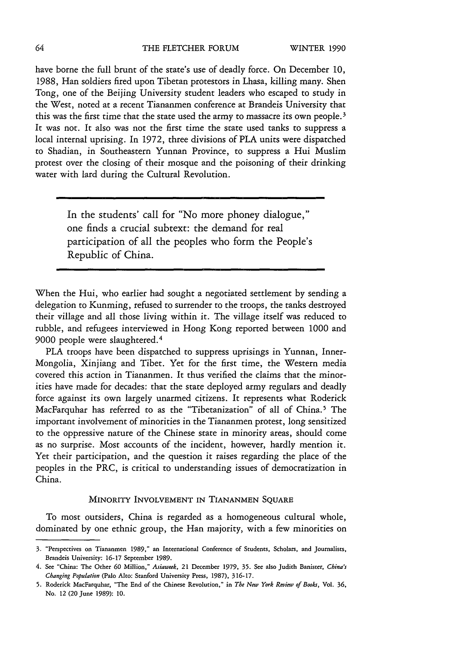have borne the full brunt of the state's use of deadly force. On December **10,** 1988, Han soldiers fired upon Tibetan protestors in Lhasa, killing many. Shen Tong, one of the Beijing University student leaders who escaped to study in the West, noted at a recent Tiananmen conference at Brandeis University that this was the first time that the state used the army to massacre its own people. **3** It was not. It also was not the first time the state used tanks to suppress a local internal uprising. In 1972, three divisions of PLA units were dispatched to Shadian, in Southeastern Yunnan Province, to suppress a Hui Muslim protest over the closing of their mosque and the poisoning of their drinking water with lard during the Cultural Revolution.

> In the students' call for "No more phoney dialogue," one finds a crucial subtext: the demand for real participation of all the peoples who form the People's Republic of China.

When the Hui, who earlier had sought a negotiated settlement by sending a delegation to Kunming, refused to surrender to the troops, the tanks destroyed their village and all those living within it. The village itself was reduced to rubble, and refugees interviewed in Hong Kong reported between 1000 and 9000 people were slaughtered. <sup>4</sup>

PLA troops have been dispatched to suppress uprisings in Yunnan, Inner-Mongolia, Xinjiang and Tibet. Yet for the first time, the Western media covered this action in Tiananmen. It thus verified the claims that the minorities have made for decades: that the state deployed army regulars and deadly force against its own largely unarmed citizens. It represents what Roderick MacFarquhar has referred to as the "Tibetanization" of all of China.<sup>5</sup> The important involvement of minorities in the Tiananmen protest, long sensitized to the oppressive nature of the Chinese state in minority areas, should come as no surprise. Most accounts of the incident, however, hardly mention it. Yet their participation, and the question it raises regarding the place of the peoples in the PRC, is critical to understanding issues of democratization in China.

#### MINORITY **INVOLVEMENT IN TIANANMEN SQUARE**

To most outsiders, China is regarded as a homogeneous cultural whole, dominated by one ethnic group, the Han majority, with a few minorities on

**<sup>3.</sup>** "Perspectives **on** Tiananmen **1989," an** International Conference **of** Students, Scholars, **and** Journalists, Brandeis University: **16-17** September **1989.**

<sup>4.</sup> See "China: The Other **60** Million," *Aiaweek,* 21 December **1979, 35.** See **also** Judith Banister, *China's Changing Population* **(Palo** Alto: Stanford University Press, **1987), 316-17.**

**<sup>5.</sup>** Roderick MacFarquhar, "The End **of** the Chinese Revolution," in *The New York Review of Books,* Vol. **36, No.** 12 **(20** June **1989): 10.**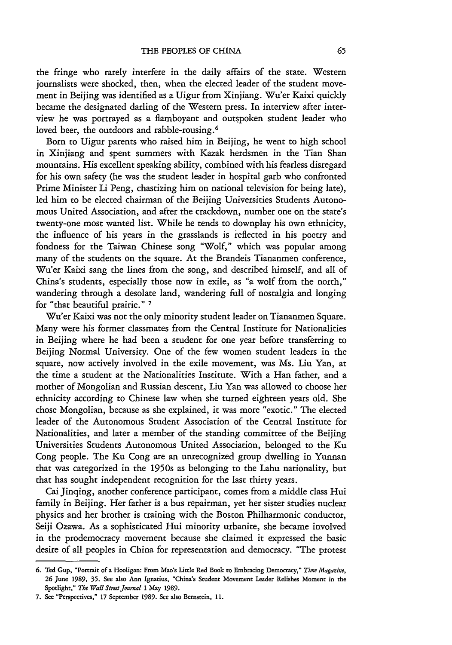the fringe who rarely interfere in the daily affairs of the state. Western journalists were shocked, then, when the elected leader of the student movement in Beijing was identified as a Uigur from Xinjiang. Wu'er Kaixi quickly became the designated darling of the Western press. In interview after interview he was portrayed as a flamboyant and outspoken student leader who loved beer, the outdoors and rabble-rousing. <sup>6</sup>

Born to Uigur parents who raised him in Beijing, he went to high school in Xinjiang and spent summers with Kazak herdsmen in the Tian Shan mountains. His excellent speaking ability, combined with his fearless disregard for his own safety (he was the student leader in hospital garb who confronted Prime Minister Li Peng, chastizing him on national television for being late), led him to be elected chairman of the Beijing Universities Students Autonomous United Association, and after the crackdown, number one on the state's twenty-one most wanted list. While he tends to downplay his own ethnicity, the influence of his years in the grasslands is reflected in his poetry and fondness for the Taiwan Chinese song "Wolf," which was popular among many of the students on the square. At the Brandeis Tiananmen conference, Wu'er Kaixi sang the lines from the song, and described himself, and all of China's students, especially those now in exile, as "a wolf from the north," wandering through a desolate land, wandering full of nostalgia and longing for "that beautiful prairie." **<sup>7</sup>**

Wu'er Kaixi was not the only minority student leader on Tiananmen Square. Many were his former classmates from the Central Institute for Nationalities in Beijing where he had been a student for one year before transferring to Beijing Normal University. One of the few women student leaders in the square, now actively involved in the exile movement, was Ms. Liu Yan, at the time a student at the Nationalities Institute. With a Han father, and a mother of Mongolian and Russian descent, Liu Yan was allowed to choose her ethnicity according to Chinese law when she turned eighteen years old. She chose Mongolian, because as she explained, it was more "exotic." The elected leader of the Autonomous Student Association of the Central Institute for Nationalities, and later a member of the standing committee of the Beijing Universities Students Autonomous United Association, belonged to the Ku Cong people. The Ku Cong are an unrecognized group dwelling in Yunnan that was categorized in the 1950s as belonging to the Lahu nationality, but that has sought independent recognition for the last thirty years.

Cai Jinqing, another conference participant, comes from a middle class Hui family in Beijing. Her father is a bus repairman, yet her sister studies nuclear physics and her brother is training with the Boston Philharmonic conductor, Seiji Ozawa. As a sophisticated Hui minority urbanite, she became involved in the prodemocracy movement because she claimed it expressed the basic desire of all peoples in China for representation and democracy. "The protest

**<sup>6.</sup> Ted** Gup, **"Portrait of a Hooligan: From Mao's** Little **Red** Book **to** Embracing Democracy," *Time Magazine,* **26** June **1989, 35.** See **also** Ann Ignatius, "China's Student Movement Leader Relishes Moment in the Spotlight," *The Wall Street Journal* **1 May 1989.**

**<sup>7.</sup>** See "Perspectives," **17** September **1989.** See **also** Bernstein, **11.**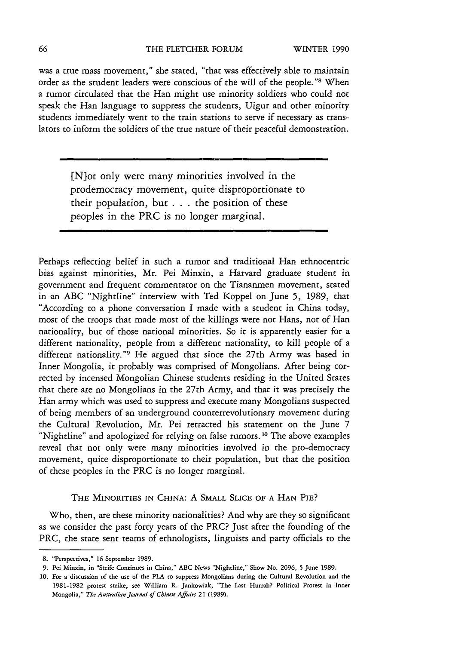was a true mass movement," she stated, "that was effectively able to maintain order as the student leaders were conscious of the will of the people."<sup>8</sup> When a rumor circulated that the Han might use minority soldiers who could not speak the Han language to suppress the students, Uigur and other minority students immediately went to the train stations to serve if necessary as translators to inform the soldiers of the true nature of their peaceful demonstration.

> [Niot only were many minorities involved in the prodemocracy movement, quite disproportionate to their population, but . **. .**the position of these peoples in the PRC is no longer marginal.

Perhaps reflecting belief in such a rumor and traditional Han ethnocentric bias against minorities, Mr. Pei Minxin, a Harvard graduate student in government and frequent commentator on the Tiananmen movement, stated in an ABC "Nightline" interview with Ted Koppel on June 5, 1989, that "According to a phone conversation I made with a student in China today, most of the troops that made most of the killings were not Hans, not of Han nationality, but of those national minorities. So it is apparently easier for a different nationality, people from a different nationality, to kill people of a different nationality."9 He argued that since the 27th Army was based in Inner Mongolia, it probably was comprised of Mongolians. After being corrected by incensed Mongolian Chinese students residing in the United States that there are no Mongolians in the 27th Army, and that it was precisely the Han army which was used to suppress and execute many Mongolians suspected of being members of an underground counterrevolutionary movement during the Cultural Revolution, Mr. Pei retracted his statement on the June 7 "Nightline" and apologized for relying on false rumors. **1 <sup>0</sup>**The above examples reveal that not only were many minorities involved in the pro-democracy movement, quite disproportionate to their population, but that the position of these peoples in the PRC is no longer marginal.

#### THE MINORITIES IN **CHINA:** A SMALL SLICE OF **A HAN** PIE?

Who, then, are these minority nationalities? And why are they so significant as we consider the past forty years of the PRC? Just after the founding of the PRC, the state sent teams of ethnologists, linguists and party officials to the

**<sup>8.</sup>** "Perspectives," **16** September **1989.**

**<sup>9.</sup>** Pei Minxin, in "Strife Continues in China," **ABC** News "Nightline," Show **No. 2096, 5** June **1989.**

**<sup>10.</sup> For a** discussion **of** the use **of** the **PLA to** suppress Mongolians during the Cultural Revolution **and** the **1981-1982** protest strike, see William **R.** Jankowiak, "The **Last** Hurrah? Political Protest in Inner **Mongolia,"** *The Australian Journal of Chinese Affairs* 21 **(1989).**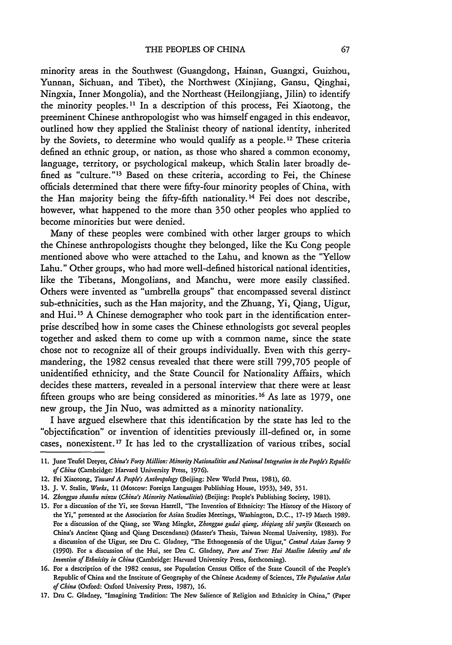minority areas in the Southwest (Guangdong, Hainan, Guangxi, Guizhou, Yunnan, Sichuan, and Tibet), the Northwest (Xinjiang, Gansu, Qinghai, Ningxia, Inner Mongolia), and the Northeast (Heilongjiang, Jilin) to identify the minority peoples." In a description of this process, Fei Xiaotong, the preeminent Chinese anthropologist who was himself engaged in this endeavor, outlined how they applied the Stalinist theory of national identity, inherited by the Soviets, to determine who would qualify as a people. 12 These criteria defined an ethnic group, or nation, as those who shared a common economy, language, territory, or psychological makeup, which Stalin later broadly defined as "culture."<sup>13</sup> Based on these criteria, according to Fei, the Chinese officials determined that there were fifty-four minority peoples of China, with the Han majority being the fifty-fifth nationality.<sup>14</sup> Fei does not describe, however, what happened to the more than 350 other peoples who applied to become minorities but were denied.

Many of these peoples were combined with other larger groups to which the Chinese anthropologists thought they belonged, like the Ku Cong people mentioned above who were attached to the Lahu, and known as the "Yellow Lahu." Other groups, who had more well-defined historical national identities, like the Tibetans, Mongolians, and Manchu, were more easily classified. Others were invented as "umbrella groups" that encompassed several distinct sub-ethnicities, such as the Han majority, and the Zhuang, Yi, Qiang, Uigur, and Hui.<sup>15</sup> A Chinese demographer who took part in the identification enterprise described how in some cases the Chinese ethnologists got several peoples together and asked them to come up with a common name, since the state chose not to recognize all of their groups individually. Even with this gerrymandering, the 1982 census revealed that there were still 799,705 people of unidentified ethnicity, and the State Council for Nationality Affairs, which decides these matters, revealed in a personal interview that there were at least fifteen groups who are being considered as minorities. **1 <sup>6</sup>**As late as 1979, one new group, the Jin Nuo, was admitted as a minority nationality.

I have argued elsewhere that this identification by the state has led to the "objectification" or invention of identities previously ill-defined or, in some cases, nonexistent. **'7** It has led to the crystallization of various tribes, social

<sup>11.</sup> June Teufel Dreyer, *China's Forty Million: Minority Nationalities and National Integration in the People's Republic of China* (Cambridge: Harvard University Press, 1976).

<sup>12.</sup> Fei Xiaotong, *Toward A People's Anthropology* (Beijing: New World Press, 1981), **60.**

<sup>13.</sup> J. V. Stalin, *Works,* 11 (Moscow: Foreign Languages Publishing House, **1953),** 349, 351.

<sup>14.</sup> *Zhongguo shaoshu minzu (China's Minority Nationalities)* (Beijing: People's Publishing Society, 1981).

**<sup>15.</sup>** For a discussion of the Yi, see Stevan Harrell, "The Invention of Ethnicity: The History of the History of the Yi," presented at the Association for Asian Studies Meetings, Washington, D.C., 17-19 March **1989.** For a discussion of the Qiang, see Wang Mingke, *Zhongguo gudai qiang, shiqiang* zhi *yanjiu* (Research on China's Ancient Qiang and Qiang Descendants) (Master's Thesis, Taiwan Normal University, 1983). For a discussion of the Uigur, see Dru C. Gladney, "The Ethnogenesis of the Uigur," *Central Asian Survey 9* (1990). For a discussion of the Hui, see Dru C. Gladney, *Pure and True: Hui Muslim Identity and the Invention of Ethnicity in China* (Cambridge: Harvard University Press, forthcoming).

**<sup>16.</sup>** For a description of the 1982 census, see Population Census Office of the State Council of the People's Republic of China and the Institute of Geography of the Chinese Academy of Sciences, *The Population Atlas of China* (Oxford: Oxford University Press, 1987), **16.**

<sup>17.</sup> Dru C. Gladney, "Imagining Tradition: The New Salience of Religion and Ethnicity in China," (Paper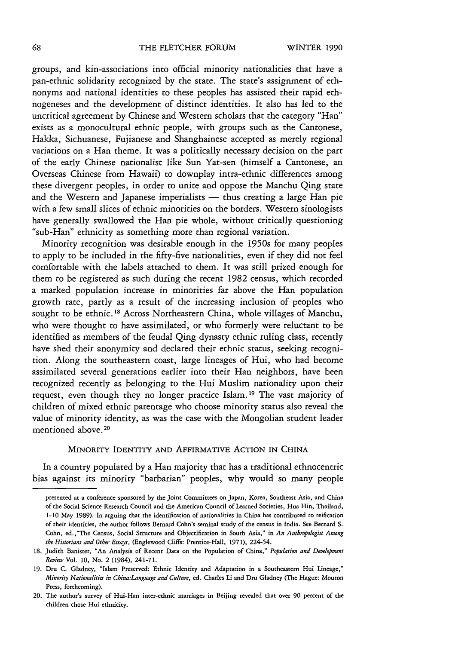#### THE FLETCHER FORUM

groups, and kin-associations into official minority nationalities that have a pan-ethnic solidarity recognized by the state. The state's assignment of ethnonyms and national identities to these peoples has assisted their rapid ethnogeneses and the development of distinct identities. It also has led to the uncritical agreement by Chinese and Western scholars that the category "Han" exists as a monocultural ethnic people, with groups such as the Cantonese, Hakka, Sichuanese, Fujianese and Shanghainese accepted as merely regional variations on a Han theme. It was a politically necessary decision on the part of the early Chinese nationalist like Sun Yat-sen (himself a Cantonese, an Overseas Chinese from Hawaii) to downplay intra-ethnic differences among these divergent peoples, in order to unite and oppose the Manchu Qing state and the Western and Japanese imperialists - thus creating a large Han pie with a few small slices of ethnic minorities on the borders. Western sinologists have generally swallowed the Han pie whole, without critically questioning "sub-Han" ethnicity as something more than regional variation.

Minority recognition was desirable enough in the 1950s for many peoples to apply to be included in the fifty-five nationalities, even if they did not feel comfortable with the labels attached to them. It was still prized enough for them to be registered as such during the recent 1982 census, which recorded a marked population increase in minorities far above the Han population growth rate, partly as a result of the increasing inclusion of peoples who sought to be ethnic.<sup>18</sup> Across Northeastern China, whole villages of Manchu, who were thought to have assimilated, or who formerly were reluctant to be identified as members of the feudal Qing dynasty ethnic ruling class, recently have shed their anonymity and declared their ethnic status, seeking recognition. Along the southeastern coast, large lineages of Hui, who had become assimilated several generations earlier into their Han neighbors, have been recognized recently as belonging to the Hui Muslim nationality upon their request, even though they no longer practice Islam. 19 The vast majority of children of mixed ethnic parentage who choose minority status also reveal the value of minority identity, as was the case with the Mongolian student leader mentioned above. <sup>20</sup>

#### MINORITY IDENTITY **AND** AFFIRMATIVE ACTION IN **CHINA**

In a country populated by a Han majority that has a traditional ethnocentric bias against its minority "barbarian" peoples, why would so many people

presented at a conference sponsored by the Joint Committees on Japan, Korea, Southeast Asia, and China of the Social Science Research Council and the American Council of Learned Societies, Hua Hin, Thailand, 1-10 May 1989). In arguing that the identification of nationalities in China has contributed to reification of their identities, the author follows Bernard Cohn's seminal study of the census in India. See Bernard **S.** Cohn, ed.,"The Census, Social Structure and Objectification in South Asia," in *An Anthropologist Among the Historians and Other Essays,* (Englewood Cliffs: Prentice-Hall, 1971), 224-54.

<sup>18.</sup> Judith Banister, "An Analysis of Recent Data on the Population of China," *Population and Development Review* Vol. **10,** No. 2 (1984), 241-7 1.

**<sup>19.</sup>** Dru C. Gladney, "Islam Preserved: Ethnic Identity and Adaptation in a Southeastern Hui Lineage," *Minority Nationalities in China:Language and Culture,* ed. Charles Li and Dru Gladney (The Hague: Mouton Press, forthcoming).

<sup>20.</sup> The author's survey of Hui-Han inter-ethnic marriages in Beijing revealed that over **90** percent of the children chose Hui ethnicity.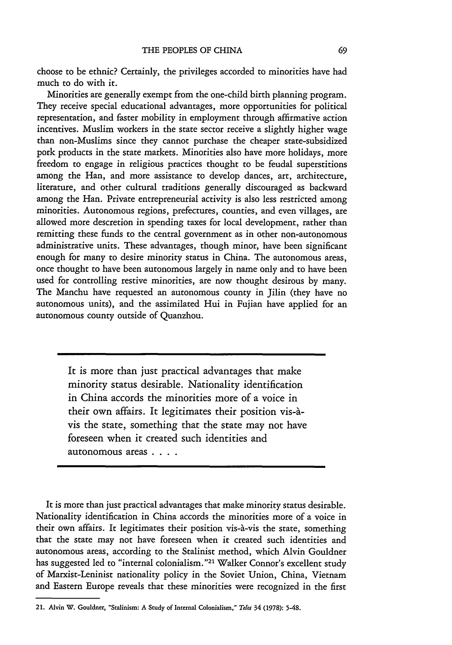choose to be ethnic? Certainly, the privileges accorded to minorities have had much to do with it.

Minorities are generally exempt from the one-child birth planning program. They receive special educational advantages, more opportunities for political representation, and faster mobility in employment through affirmative action incentives. Muslim workers in the state sector receive a slightly higher wage than non-Muslims since they cannot purchase the cheaper state-subsidized pork products in the state markets. Minorities also have more holidays, more freedom to engage in religious practices thought to be feudal superstitions among the Han, and more assistance to develop dances, art, architecture, literature, and other cultural traditions generally discouraged as backward among the Han. Private entrepreneurial activity is also less restricted among minorities. Autonomous regions, prefectures, counties, and even villages, are allowed more descretion in spending taxes for local development, rather than remitting these funds to the central government as in other non-autonomous administrative units. These advantages, though minor, have been significant enough for many to desire minority status in China. The autonomous areas, once thought to have been autonomous largely in name only and to have been used for controlling restive minorities, are now thought desirous by many. The Manchu have requested an autonomous county in Jilin (they have no autonomous units), and the assimilated Hui in Fujian have applied for an autonomous county outside of Quanzhou.

It is more than just practical advantages that make minority status desirable. Nationality identification in China accords the minorities more of a voice in their own affairs. It legitimates their position vis-àvis the state, something that the state may not have foreseen when it created such identities and autonomous areas . **...**

It is more than just practical advantages that make minority status desirable. Nationality identification in China accords the minorities more of a voice in their own affairs. It legitimates their position vis-a-vis the state, something that the state may not have foreseen when it created such identities and autonomous areas, according to the Stalinist method, which Alvin Gouldner has suggested led to "internal colonialism."<sup>21</sup> Walker Connor's excellent study of Marxist-Leninist nationality policy in the Soviet Union, China, Vietnam and Eastern Europe reveals that these minorities were recognized in the first

**<sup>21.</sup>** Alvin **W. Gouldner,** "Stalinism: **A** Study **of** Internal Colonialism," *Telos* **34 (1978): 5-48.**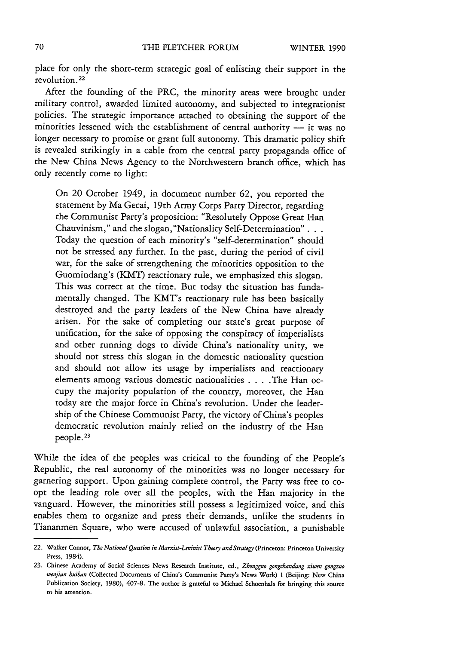place for only the short-term strategic goal of enlisting their support in the revolution. 22

After the founding of the PRC, the minority areas were brought under military control, awarded limited autonomy, and subjected to integrationist policies. The strategic importance attached to obtaining the support of the minorities lessened with the establishment of central authority  $\frac{1}{1}$  it was no longer necessary to promise or grant full autonomy. This dramatic policy shift is revealed strikingly in a cable from the central party propaganda office of the New China News Agency to the Northwestern branch office, which has only recently come to light:

On 20 October 1949, in document number 62, you reported the statement by Ma Gecai, 19th Army Corps Party Director, regarding the Communist Party's proposition: "Resolutely Oppose Great Han Chauvinism," and the slogan, "Nationality Self-Determination"... Today the question of each minority's "self-determination" should not be stressed any further. In the past, during the period of civil war, for the sake of strengthening the minorities opposition to the Guomindang's (KMT) reactionary rule, we emphasized this slogan. This was correct at the time. But today the situation has fundamentally changed. The KMT's reactionary rule has been basically destroyed and the party leaders of the New China have already arisen. For the sake of completing our state's great purpose of unification, for the sake of opposing the conspiracy of imperialists and other running dogs to divide China's nationality unity, we should not stress this slogan in the domestic nationality question and should not allow its usage by imperialists and reactionary elements among various domestic nationalities . **. .** .The Han occupy the majority population of the country, moreover, the Han today are the major force in China's revolution. Under the leadership of the Chinese Communist Party, the victory of China's peoples democratic revolution mainly relied on the industry of the Han people. **<sup>23</sup>**

While the idea of the peoples was critical to the founding of the People's Republic, the real autonomy of the minorities was no longer necessary for garnering support. Upon gaining complete control, the Party was free to coopt the leading role over all the peoples, with the Han majority in the vanguard. However, the minorities still possess a legitimized voice, and this enables them to organize and press their demands, unlike the students in Tiananmen Square, who were accused of unlawful association, a punishable

<sup>22.</sup> Walker Connor, *The National Question in Marxist-Leninist Theory and Strategy* (Princeton: Princeton University Press, 1984).

**<sup>23.</sup>** Chinese Academy **of** Social Sciences News Research Institute, ed., *Zhongguo gongchandang xiwen gongzuo wenjian huiban* (Collected Documents **of** China's Communist Party's News Work) **I** (Beijing: New China Publication Society, **1980), 407-8.** The author is grateful **to** Michael Schoenhals **for** bringing this source to his attention.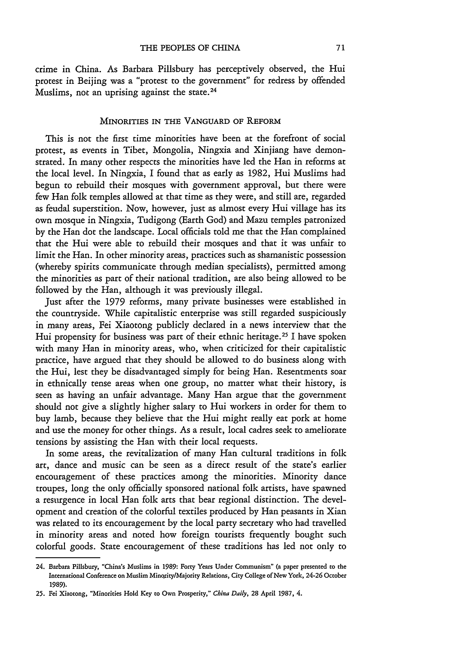crime in China. As Barbara Pillsbury has perceptively observed, the Hui protest in Beijing was a "protest to the government" for redress by offended Muslims, not an uprising against the state. <sup>24</sup>

## **MINORITIES IN THE VANGUARD OF REFORM**

This is not the first time minorities have been at the forefront of social protest, as events in Tibet, Mongolia, Ningxia and Xinjiang have demonstrated. In many other respects the minorities have led the Han in reforms at the local level. In Ningxia, I found that as early as 1982, Hui Muslims had begun to rebuild their mosques with government approval, but there were few Han folk temples allowed at that time as they were, and still are, regarded as feudal superstition. Now, however, just as almost every Hui village has its own mosque in Ningxia, Tudigong (Earth God) and Mazu temples patronized by the Han dot the landscape. Local officials told me that the Han complained that the Hui were able to rebuild their mosques and that it was unfair to limit the Han. In other minority areas, practices such as shamanistic possession (whereby spirits communicate through median specialists), permitted among the minorities as part of their national tradition, are also being allowed to be followed by the Han, although it was previously illegal.

Just after the 1979 reforms, many private businesses were established in the countryside. While capitalistic enterprise was still regarded suspiciously in many areas, Fei Xiaotong publicly declared in a news interview that the Hui propensity for business was part of their ethnic heritage.<sup>25</sup> I have spoken with many Han in minority areas, who, when criticized for their capitalistic practice, have argued that they should be allowed to do business along with the Hui, lest they be disadvantaged simply for being Han. Resentments soar in ethnically tense areas when one group, no matter what their history, is seen as having an unfair advantage. Many Han argue that the government should not give a slightly higher salary to Hui workers in order for them to buy lamb, because they believe that the Hui might really eat pork at home and use the money for other things. As a result, local cadres seek to ameliorate tensions by assisting the Han with their local requests.

In some areas, the revitalization of many Han cultural traditions in folk art, dance and music can be seen as a direct result of the state's earlier encouragement of these practices among the minorities. Minority dance troupes, long the only officially sponsored national folk artists, have spawned a resurgence in local Han folk arts that bear regional distinction. The development and creation of the colorful textiles produced by Han peasants in Xian was related to its encouragement by the local party secretary who had travelled in minority areas and noted how foreign tourists frequently bought such colorful goods. State encouragement of these traditions has led not only to

**<sup>24.</sup> Barbara** Pillsbury, "China's Muslims in **1989: Forty** Years Under Communism" **(a** paper presented **to** the International Conference **on** Muslim Minority/Majority **Relations,** City College **of** New **York, 24-26** October **1989).**

**<sup>25.</sup> Fei Xiaotong,** "Minorities Hold Key **to** Own Prosperity," *China Daily,* **28** April **1987, 4.**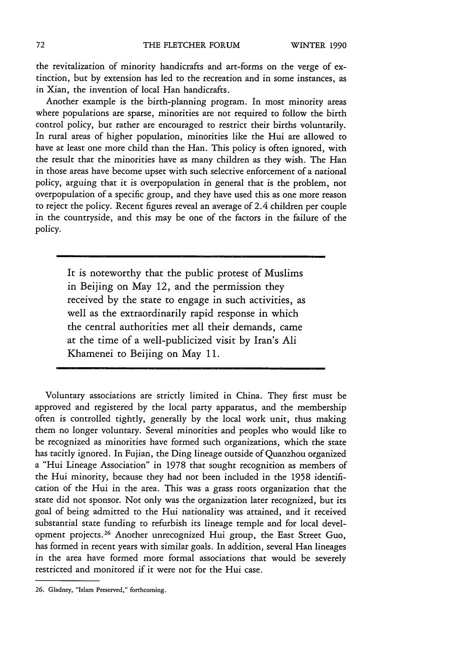the revitalization of minority handicrafts and art-forms on the verge of extinction, but by extension has led to the recreation and in some instances, as in Xian, the invention of local Han handicrafts.

Another example is the birth-planning program. In most minority areas where populations are sparse, minorities are not required to follow the birth control policy, but rather are encouraged to restrict their births voluntarily. In rural areas of higher population, minorities like the Hui are allowed to have at least one more child than the Han. This policy is often ignored, with the result that the minorities have as many children as they wish. The Han in those areas have become upset with such selective enforcement of a national policy, arguing that it is overpopulation in general that is the problem, not overpopulation of a specific group, and they have used this as one more reason to reject the policy. Recent figures reveal an average of 2.4 children per couple in the countryside, and this may be one of the factors in the failure of the policy.

> It is noteworthy that the public protest of Muslims in Beijing on May 12, and the permission they received by the state to engage in such activities, as well as the extraordinarily rapid response in which the central authorities met all their demands, came at the time of a well-publicized visit by Iran's Ali Khamenei to Beijing on May 11.

Voluntary associations are strictly limited in China. They first must be approved and registered by the local party apparatus, and the membership often is controlled tightly, generally by the local work unit, thus making them no longer voluntary. Several minorities and peoples who would like to be recognized as minorities have formed such organizations, which the state has tacitly ignored. In Fujian, the Ding lineage outside of Quanzhou organized a "Hui Lineage Association" in 1978 that sought recognition as members of the Hui minority, because they had not been included in the 1958 identification of the Hui in the area. This was a grass roots organization that the state did not sponsor. Not only was the organization later recognized, but its goal of being admitted to the Hui nationality was attained, and it received substantial state funding to refurbish its lineage temple and for local development projects. 26 Another unrecognized Hui group, the East Street Guo, has formed in recent years with similar goals. In addition, several Han lineages in the area have formed more formal associations that would be severely restricted and monitored if it were not for the Hui case.

**<sup>26.</sup>** Gladney, "Islam Preserved," forthcoming.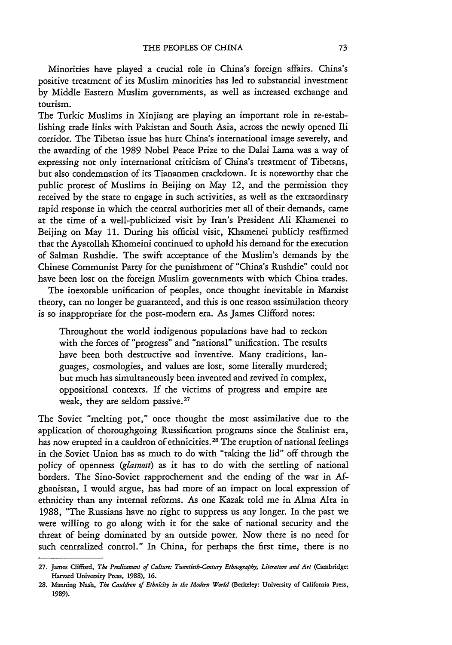Minorities have played a crucial role in China's foreign affairs. China's positive treatment of its Muslim minorities has led to substantial investment by Middle Eastern Muslim governments, as well as increased exchange and tourism.

The Turkic Muslims in Xinjiang are playing an important role in re-establishing trade links with Pakistan and South Asia, across the newly opened Ili corridor. The Tibetan issue has hurt China's international image severely, and the awarding of the 1989 Nobel Peace Prize to the Dalai Lama was a way of expressing not only international criticism of China's treatment of Tibetans, but also condemnation of its Tiananmen crackdown. It is noteworthy that the public protest of Muslims in Beijing on May 12, and the permission they received by the state to engage in such activities, as well as the extraordinary rapid response in which the central authorities met all of their demands, came at the time of a well-publicized visit by Iran's President Ali Khamenei to Beijing on May 11. During his official visit, Khamenei publicly reaffirmed that the Ayatollah Khomeini continued to uphold his demand for the execution of Salman Rushdie. The swift acceptance of the Muslim's demands by the Chinese Communist Party for the punishment of "China's Rushdie" could not have been lost on the foreign Muslim governments with which China trades.

The inexorable unification of peoples, once thought inevitable in Marxist theory, can no longer be guaranteed, and this is one reason assimilation theory is so inappropriate for the post-modern era. As James Clifford notes:

Throughout the world indigenous populations have had to reckon with the forces of "progress" and "national" unification. The results have been both destructive and inventive. Many traditions, languages, cosmologies, and values are lost, some literally murdered; but much has simultaneously been invented and revived in complex, oppositional contexts. If the victims of progress and empire are weak, they are seldom passive.<sup>27</sup>

The Soviet "melting pot," once thought the most assimilative due to the application of thoroughgoing Russification programs since the Stalinist era, has now erupted in a cauldron of ethnicities.<sup>28</sup> The eruption of national feelings in the Soviet Union has as much to do with "taking the lid" off through the policy of openness *(glasnost)* as it has to do with the settling of national borders. The Sino-Soviet rapprochement and the ending of the war in Afghanistan, I would argue, has had more of an impact on local expression of ethnicity than any internal reforms. As one Kazak told me in Alma Alta in 1988, "The Russians have no right to suppress us any longer. In the past we were willing to go along with it for the sake of national security and the threat of being dominated by an outside power. Now there is no need for such centralized control." In China, for perhaps the first time, there is no

**<sup>27.</sup>** James Clifford, *The Predicament of Culture: Twentieth-Century Ethnography, Literature and Art* (Cambridge: **Harvard** University **Press, 1988), 16.**

**<sup>28.</sup>** Manning **Nash,** *The Cauldron of Ethnicity in the Modern World* (Berkeley: University **of** California Press, **1989).**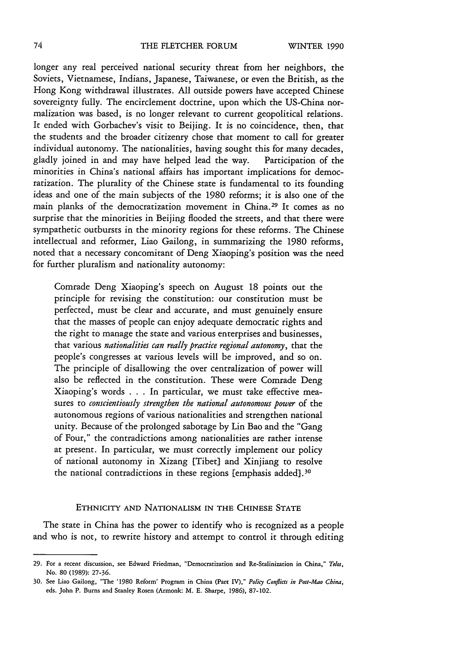## THE FLETCHER FORUM

longer any real perceived national security threat from her neighbors, the Soviets, Vietnamese, Indians, Japanese, Taiwanese, or even the British, as the Hong Kong withdrawal illustrates. All outside powers have accepted Chinese sovereignty fully. The encirclement doctrine, upon which the US-China normalization was based, is no longer relevant to current geopolitical relations. It ended with Gorbachev's visit to Beijing. It is no coincidence, then, that the students and the broader citizenry chose that moment to call for greater individual autonomy. The nationalities, having sought this for many decades, gladly joined in and may have helped lead the way. Participation of the minorities in China's national affairs has important implications for democratization. The plurality of the Chinese state is fundamental to its founding ideas and one of the main subjects of the 1980 reforms; it is also one of the main planks of the democratization movement in China. 29 It comes as no surprise that the minorities in Beijing flooded the streets, and that there were sympathetic outbursts in the minority regions for these reforms. The Chinese intellectual and reformer, Liao Gailong, in summarizing the 1980 reforms, noted that a necessary concomitant of Deng Xiaoping's position was the need for further pluralism and nationality autonomy:

Comrade Deng Xiaoping's speech on August 18 points out the principle for revising the constitution: our constitution must be perfected, must be clear and accurate, and must genuinely ensure that the masses of people can enjoy adequate democratic rights and the right to manage the state and various enterprises and businesses, that various *nationalities can really practice regional autonomy,* that the people's congresses at various levels will be improved, and so on. The principle of disallowing the over centralization of power will also be reflected in the constitution. These were Comrade Deng Xiaoping's words . . . In particular, we must take effective measures to *conscientiously strengthen the national autonomous power* of the autonomous regions of various nationalities and strengthen national unity. Because of the prolonged sabotage by Lin Bao and the "Gang of Four," the contradictions among nationalities are rather intense at present. In particular, we must correctly implement our policy of national autonomy in Xizang [Tibet] and Xinjiang to resolve the national contradictions in these regions [emphasis added].<sup>30</sup>

## ETHNICITY AND NATIONALISM IN THE CHINESE STATE

The state in China has the power to identify who is recognized as a people and who is not, to rewrite history and attempt to control it through editing

<sup>29.</sup> For a recent discussion, see Edward Friedman, "Democratization and Re-Stalinization in China," *Telo",* No. 80 (1989): 27-36.

<sup>30.</sup> See Liao Gailong, "The **'1980** Reform' Program in China (Part IV)," *Policy Conflicts in Post-Mao China,* eds. John P. Burns and Stanley Rosen (Armonk: M. E. Sharpe, 1986), 87-102.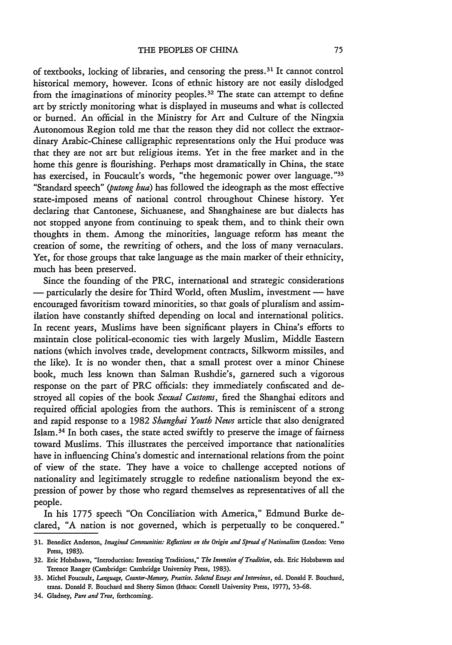of textbooks, locking of libraries, and censoring the press. 31 It cannot control historical memory, however. Icons of ethnic history are not easily dislodged from the imaginations of minority peoples. 32 The state can attempt to define art by strictly monitoring what is displayed in museums and what is collected or burned. An official in the Ministry for Art and Culture of the Ningxia Autonomous Region told me that the reason they did not collect the extraordinary Arabic-Chinese calligraphic representations only the Hui produce was that they are not art but religious items. Yet in the free market and in the home this genre is flourishing. Perhaps most dramatically in China, the state has exercised, in Foucault's words, "the hegemonic power over language."33 "Standard speech" *(putong hua)* has followed the ideograph as the most effective state-imposed means of national control throughout Chinese history. Yet declaring that Cantonese, Sichuanese, and Shanghainese are but dialects has not stopped anyone from continuing to speak them, and to think their own thoughts in them. Among the minorities, language reform has meant the creation of some, the rewriting of others, and the loss of many vernaculars. Yet, for those groups that take language as the main marker of their ethnicity, much has been preserved.

Since the founding of the PRC, international and strategic considerations - particularly the desire for Third World, often Muslim, investment - have encouraged favoritism toward minorities, so that goals of pluralism and assimilation have constantly shifted depending on local and international politics. In recent years, Muslims have been significant players in China's efforts to maintain close political-economic ties with largely Muslim, Middle Eastern nations (which involves trade, development contracts, Silkworm missiles, and the like). It is no wonder then, that a small protest over a minor Chinese book, much less known than Salman Rushdie's, garnered such a vigorous response on the part of PRC officials: they immediately confiscated and destroyed all copies of the book *Sexual Customs,* fired the Shanghai editors and required official apologies from the authors. This is reminiscent of a strong and rapid response to a 1982 *Shanghai Youth News* article that also denigrated Islam. 34 In both cases, the state acted swiftly to preserve the image of fairness toward Muslims. This illustrates the perceived importance that nationalities have in influencing China's domestic and international relations from the point of view of the state. They have a voice to challenge accepted notions of nationality and legitimately struggle to redefine nationalism beyond the expression of power by those who regard themselves as representatives of all the people.

In his 1775 speech "On Conciliation with America," Edmund Burke declared, **"A** nation is not governed, which is perpetually to be conquered."

**34.** Gladney, *Pure and True,* forthcoming.

**<sup>31.</sup>** Benedict Anderson, *Imagined Communities: Reflecions on the Origin and Spread of Nationalism* (London: Verso Press, **1983).**

**<sup>32.</sup>** Eric Hobsbawn, "Introduction: Inventing Traditions," *The Invention of Tradition,* eds. Eric Hobsbawm **and** Terence Ranger (Cambridge: Cambridge University Press, **1983).**

**<sup>33.</sup>** Michel Foucault, *Language, Counter-Memory, Practice. Selected Essays and Interviews,* **ed.** Donald **F.** Bouchard, trans. Donald **F.** Bouchard **and** Sherry Simon **(Ithaca: Cornell** University Press, **1977), 53-68.**